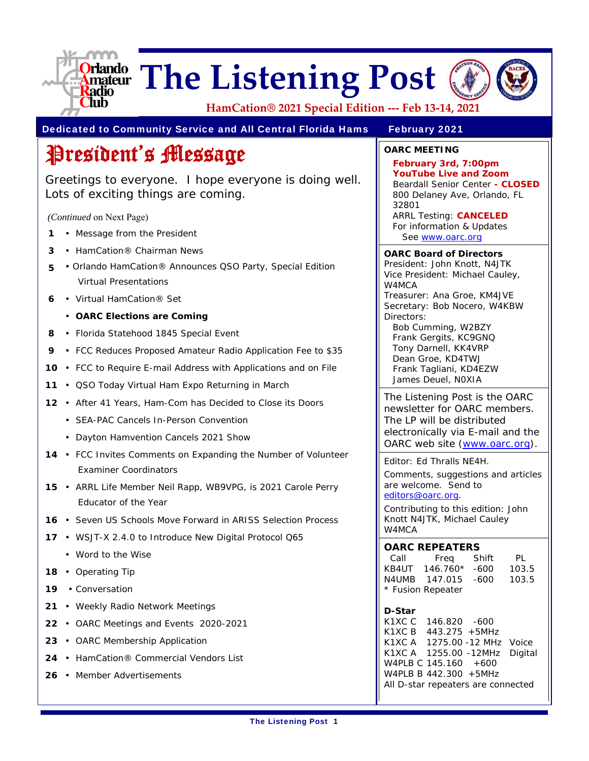

# **The Listening Post**



**HamCation® 2021 Special Edition ‐‐‐ Feb 13‐14, 2021**

Dedicated to Community Service and All Central Florida Hams February 2021

# President's Message

Greetings to everyone. I hope everyone is doing well. Lots of exciting things are coming.

 *(Continued* on Next Page)

- **1** Message from the President
- **3** HamCation® Chairman News
- **5**  Orlando HamCation® Announces QSO Party, Special Edition Virtual Presentations
- **6**  Virtual HamCation® Set
	- **OARC Elections are Coming**
- **8**  Florida Statehood 1845 Special Event
- **9** FCC Reduces Proposed Amateur Radio Application Fee to \$35
- **10**  FCC to Require E-mail Address with Applications and on File
- **11** QSO Today Virtual Ham Expo Returning in March
- **12**  After 41 Years, Ham-Com has Decided to Close its Doors
	- SEA-PAC Cancels In-Person Convention
	- Dayton Hamvention Cancels 2021 Show
- 14 FCC Invites Comments on Expanding the Number of Volunteer Examiner Coordinators
- **15** ARRL Life Member Neil Rapp, WB9VPG, is 2021 Carole Perry Educator of the Year
- **16**  Seven US Schools Move Forward in ARISS Selection Process
- **17**  WSJT-X 2.4.0 to Introduce New Digital Protocol Q65
	- Word to the Wise
- **18**  Operating Tip
- **19**  Conversation
- **21**  Weekly Radio Network Meetings
- **22**  OARC Meetings and Events 2020-2021
- **23**  OARC Membership Application
- **24**  HamCation® Commercial Vendors List
- **26**  Member Advertisements

**OARC MEETING**

**February 3rd, 7:00pm YouTube Live and Zoom**  Beardall Senior Center **- CLOSED**  800 Delaney Ave, Orlando, FL 32801 ARRL Testing: **CANCELED** For information & Updates

See www.oarc.org

**OARC Board of Directors**

President: John Knott, N4JTK Vice President: Michael Cauley, W4MCA Treasurer: Ana Groe, KM4JVE

Secretary: Bob Nocero, W4KBW Directors:

Bob Cumming, W2BZY Frank Gergits, KC9GNQ Tony Darnell, KK4VRP Dean Groe, KD4TWJ Frank Tagliani, KD4EZW James Deuel, N0XIA

The Listening Post is the OARC newsletter for OARC members. The LP will be distributed electronically via E-mail and the OARC web site (www.oarc.org).

Editor: Ed Thralls NE4H.

Comments, suggestions and articles are welcome. Send to editors@oarc.org.

Contributing to this edition: John Knott N4JTK, Michael Cauley W4MCA

#### **OARC REPEATERS**

| Call              | Freq     | Shift | PL    |
|-------------------|----------|-------|-------|
| KB4UT             | 146.760* | -600  | 103.5 |
| N4UMB.            | 147.015  | -600  | 103.5 |
| * Fusion Repeater |          |       |       |

#### **D-Star**

K1XC C 146.820 -600 K1XC B 443.275 +5MHz K1XC A 1275.00 -12 MHz Voice K1XC A 1255.00 -12MHz Digital W4PLB C 145.160 +600 W4PLB B 442.300 +5MHz All D-star repeaters are connected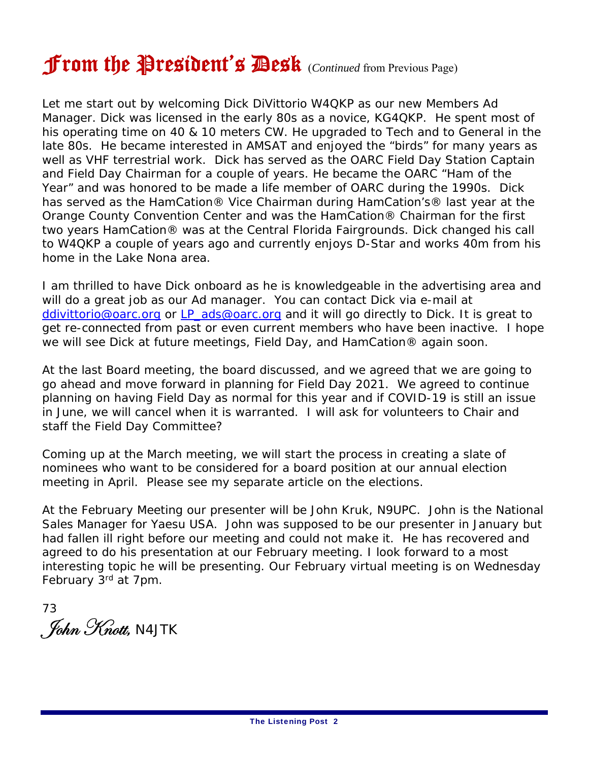# From the President's Desk (*Continued* from Previous Page)

Let me start out by welcoming Dick DiVittorio W4QKP as our new Members Ad Manager. Dick was licensed in the early 80s as a novice, KG4QKP. He spent most of his operating time on 40 & 10 meters CW. He upgraded to Tech and to General in the late 80s. He became interested in AMSAT and enjoyed the "birds" for many years as well as VHF terrestrial work. Dick has served as the OARC Field Day Station Captain and Field Day Chairman for a couple of years. He became the OARC "Ham of the Year" and was honored to be made a life member of OARC during the 1990s. Dick has served as the HamCation® Vice Chairman during HamCation's® last year at the Orange County Convention Center and was the HamCation® Chairman for the first two years HamCation® was at the Central Florida Fairgrounds. Dick changed his call to W4QKP a couple of years ago and currently enjoys D-Star and works 40m from his home in the Lake Nona area.

I am thrilled to have Dick onboard as he is knowledgeable in the advertising area and will do a great job as our Ad manager. You can contact Dick via e-mail at ddivittorio@oarc.org or LP\_ads@oarc.org and it will go directly to Dick. It is great to get re-connected from past or even current members who have been inactive. I hope we will see Dick at future meetings, Field Day, and HamCation® again soon.

At the last Board meeting, the board discussed, and we agreed that we are going to go ahead and move forward in planning for Field Day 2021. We agreed to continue planning on having Field Day as normal for this year and if COVID-19 is still an issue in June, we will cancel when it is warranted. I will ask for volunteers to Chair and staff the Field Day Committee?

Coming up at the March meeting, we will start the process in creating a slate of nominees who want to be considered for a board position at our annual election meeting in April. Please see my separate article on the elections.

At the February Meeting our presenter will be John Kruk, N9UPC. John is the National Sales Manager for Yaesu USA. John was supposed to be our presenter in January but had fallen ill right before our meeting and could not make it. He has recovered and agreed to do his presentation at our February meeting. I look forward to a most interesting topic he will be presenting. Our February virtual meeting is on Wednesday February 3rd at 7pm.

73 . John Knott, <code>N4JTK</code>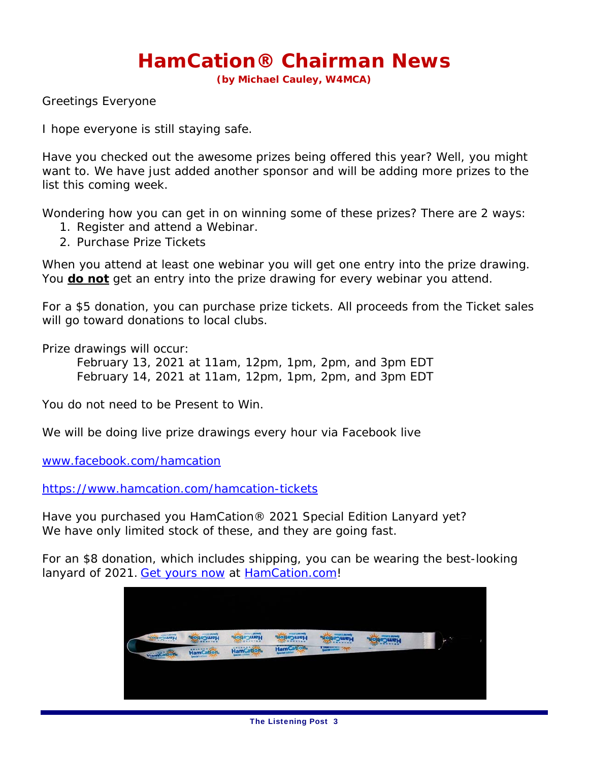## **HamCation® Chairman News**

**(by Michael Cauley, W4MCA)**

Greetings Everyone

I hope everyone is still staying safe.

Have you checked out the awesome prizes being offered this year? Well, you might want to. We have just added another sponsor and will be adding more prizes to the list this coming week.

Wondering how you can get in on winning some of these prizes? There are 2 ways:

- 1. Register and attend a Webinar.
- 2. Purchase Prize Tickets

When you attend at least one webinar you will get one entry into the prize drawing. You **do not** get an entry into the prize drawing for every webinar you attend.

For a \$5 donation, you can purchase prize tickets. All proceeds from the Ticket sales will go toward donations to local clubs.

Prize drawings will occur:

 February 13, 2021 at 11am, 12pm, 1pm, 2pm, and 3pm EDT February 14, 2021 at 11am, 12pm, 1pm, 2pm, and 3pm EDT

You do not need to be Present to Win.

We will be doing live prize drawings every hour via Facebook live

www.facebook.com/hamcation

https://www.hamcation.com/hamcation-tickets

Have you purchased you HamCation® 2021 Special Edition Lanyard yet? We have only limited stock of these, and they are going fast.

For an \$8 donation, which includes shipping, you can be wearing the best-looking lanyard of 2021. Get yours now at HamCation.com!

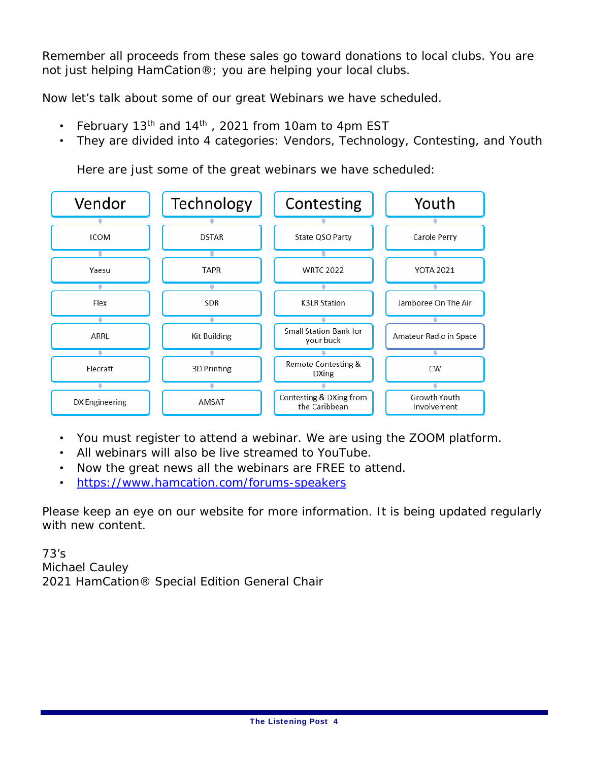Remember all proceeds from these sales go toward donations to local clubs. You are not just helping HamCation®; you are helping your local clubs.

Now let's talk about some of our great Webinars we have scheduled.

- February 13<sup>th</sup> and 14<sup>th</sup>, 2021 from 10am to 4pm EST
- They are divided into 4 categories: Vendors, Technology, Contesting, and Youth

Here are just some of the great webinars we have scheduled:



- You must register to attend a webinar. We are using the ZOOM platform.
- All webinars will also be live streamed to YouTube.
- Now the great news all the webinars are FREE to attend.
- https://www.hamcation.com/forums-speakers

Please keep an eye on our website for more information. It is being updated regularly with new content.

73's Michael Cauley 2021 HamCation® Special Edition General Chair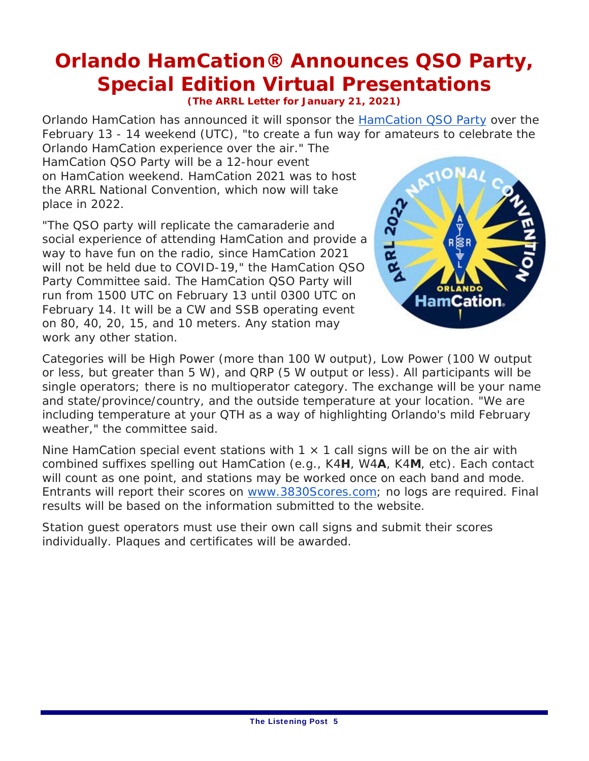# **Orlando HamCation® Announces QSO Party, Special Edition Virtual Presentations**

#### **(The ARRL Letter for January 21, 2021)**

Orlando HamCation has announced it will sponsor the HamCation QSO Party over the February 13 - 14 weekend (UTC), "to create a fun way for amateurs to celebrate the

Orlando HamCation experience over the air." The HamCation QSO Party will be a 12-hour event on HamCation weekend. HamCation 2021 was to host the ARRL National Convention, which now will take place in 2022.

"The QSO party will replicate the camaraderie and social experience of attending HamCation and provide a way to have fun on the radio, since HamCation 2021 will not be held due to COVID-19," the HamCation QSO Party Committee said. The HamCation QSO Party will run from 1500 UTC on February 13 until 0300 UTC on February 14. It will be a CW and SSB operating event on 80, 40, 20, 15, and 10 meters. Any station may work any other station.



Categories will be High Power (more than 100 W output), Low Power (100 W output or less, but greater than 5 W), and QRP (5 W output or less). All participants will be single operators; there is no multioperator category. The exchange will be your name and state/province/country, and the outside temperature at your location. "We are including temperature at your QTH as a way of highlighting Orlando's mild February weather," the committee said.

Nine HamCation special event stations with  $1 \times 1$  call signs will be on the air with combined suffixes spelling out HamCation (e.g., K4**H**, W4**A**, K4**M**, etc). Each contact will count as one point, and stations may be worked once on each band and mode. Entrants will report their scores on www.3830Scores.com; no logs are required. Final results will be based on the information submitted to the website.

Station guest operators must use their own call signs and submit their scores individually. Plaques and certificates will be awarded.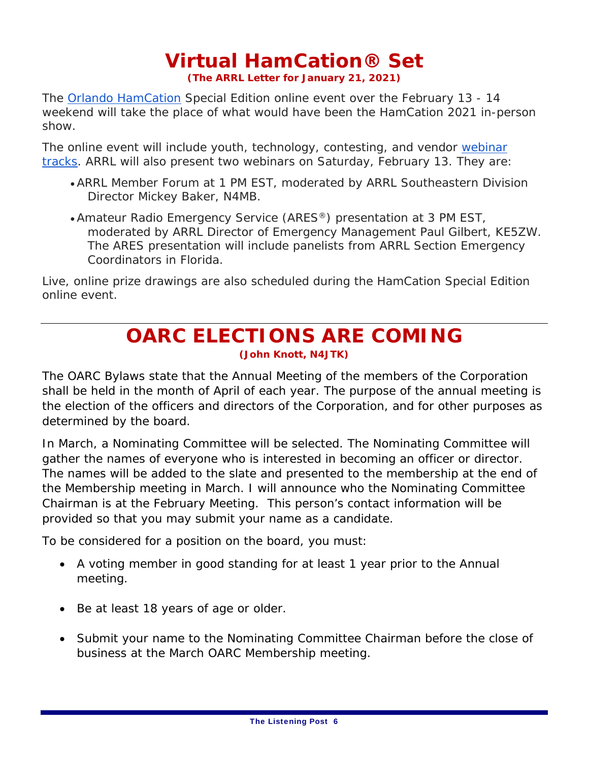# **Virtual HamCation® Set**

**(The ARRL Letter for January 21, 2021)**

The Orlando HamCation Special Edition online event over the February 13 - 14 weekend will take the place of what would have been the HamCation 2021 in-person show.

The online event will include youth, technology, contesting, and vendor webinar tracks. ARRL will also present two webinars on Saturday, February 13. They are:

- ARRL Member Forum at 1 PM EST, moderated by ARRL Southeastern Division Director Mickey Baker, N4MB.
- Amateur Radio Emergency Service (ARES®) presentation at 3 PM EST, moderated by ARRL Director of Emergency Management Paul Gilbert, KE5ZW. The ARES presentation will include panelists from ARRL Section Emergency Coordinators in Florida.

Live, online prize drawings are also scheduled during the HamCation Special Edition online event.

### **OARC ELECTIONS ARE COMING (John Knott, N4JTK)**

The OARC Bylaws state that the Annual Meeting of the members of the Corporation shall be held in the month of April of each year. The purpose of the annual meeting is the election of the officers and directors of the Corporation, and for other purposes as determined by the board.

In March, a Nominating Committee will be selected. The Nominating Committee will gather the names of everyone who is interested in becoming an officer or director. The names will be added to the slate and presented to the membership at the end of the Membership meeting in March. I will announce who the Nominating Committee Chairman is at the February Meeting. This person's contact information will be provided so that you may submit your name as a candidate.

To be considered for a position on the board, you must:

- A voting member in good standing for at least 1 year prior to the Annual meeting.
- Be at least 18 years of age or older.
- Submit your name to the Nominating Committee Chairman before the close of business at the March OARC Membership meeting.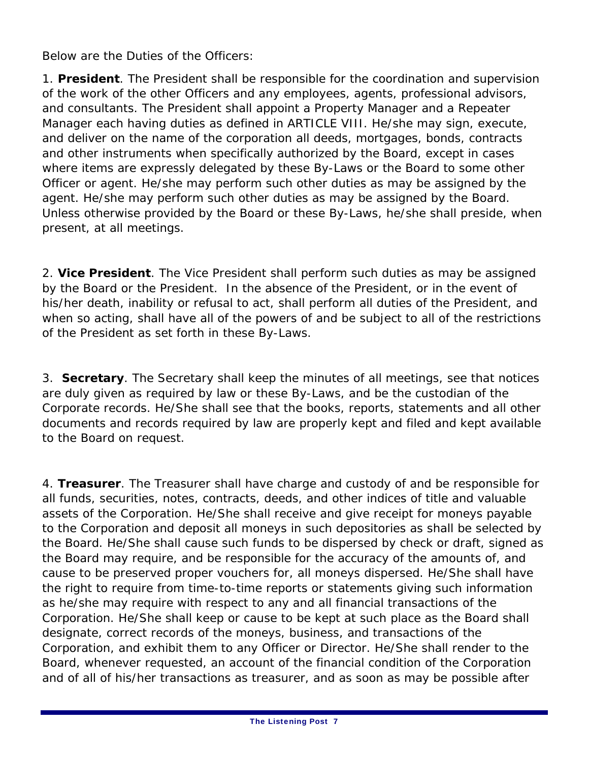Below are the Duties of the Officers:

1. **President**. The President shall be responsible for the coordination and supervision of the work of the other Officers and any employees, agents, professional advisors, and consultants. The President shall appoint a Property Manager and a Repeater Manager each having duties as defined in ARTICLE VIII. He/she may sign, execute, and deliver on the name of the corporation all deeds, mortgages, bonds, contracts and other instruments when specifically authorized by the Board, except in cases where items are expressly delegated by these By-Laws or the Board to some other Officer or agent. He/she may perform such other duties as may be assigned by the agent. He/she may perform such other duties as may be assigned by the Board. Unless otherwise provided by the Board or these By-Laws, he/she shall preside, when present, at all meetings.

2. **Vice President**. The Vice President shall perform such duties as may be assigned by the Board or the President. In the absence of the President, or in the event of his/her death, inability or refusal to act, shall perform all duties of the President, and when so acting, shall have all of the powers of and be subject to all of the restrictions of the President as set forth in these By-Laws.

3. **Secretary**. The Secretary shall keep the minutes of all meetings, see that notices are duly given as required by law or these By-Laws, and be the custodian of the Corporate records. He/She shall see that the books, reports, statements and all other documents and records required by law are properly kept and filed and kept available to the Board on request.

4. **Treasurer**. The Treasurer shall have charge and custody of and be responsible for all funds, securities, notes, contracts, deeds, and other indices of title and valuable assets of the Corporation. He/She shall receive and give receipt for moneys payable to the Corporation and deposit all moneys in such depositories as shall be selected by the Board. He/She shall cause such funds to be dispersed by check or draft, signed as the Board may require, and be responsible for the accuracy of the amounts of, and cause to be preserved proper vouchers for, all moneys dispersed. He/She shall have the right to require from time-to-time reports or statements giving such information as he/she may require with respect to any and all financial transactions of the Corporation. He/She shall keep or cause to be kept at such place as the Board shall designate, correct records of the moneys, business, and transactions of the Corporation, and exhibit them to any Officer or Director. He/She shall render to the Board, whenever requested, an account of the financial condition of the Corporation and of all of his/her transactions as treasurer, and as soon as may be possible after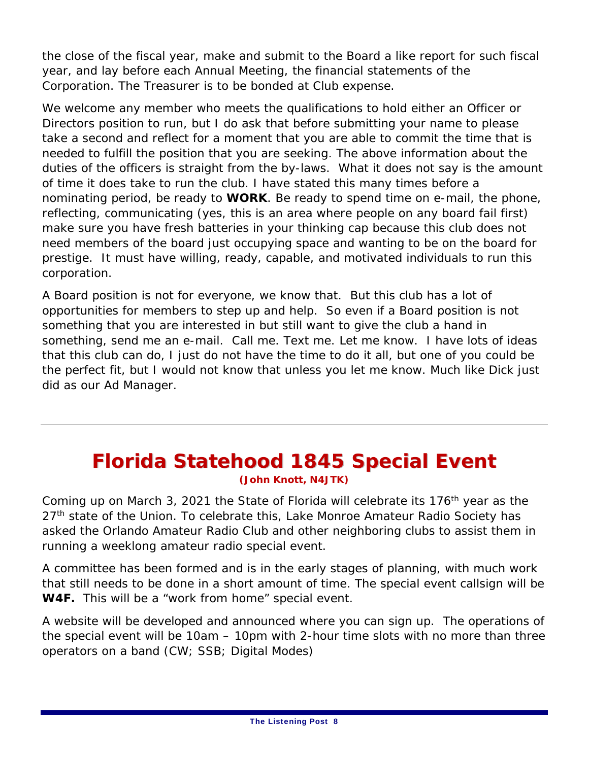the close of the fiscal year, make and submit to the Board a like report for such fiscal year, and lay before each Annual Meeting, the financial statements of the Corporation. The Treasurer is to be bonded at Club expense.

We welcome any member who meets the qualifications to hold either an Officer or Directors position to run, but I do ask that before submitting your name to please take a second and reflect for a moment that you are able to commit the time that is needed to fulfill the position that you are seeking. The above information about the duties of the officers is straight from the by-laws. What it does not say is the amount of time it does take to run the club. I have stated this many times before a nominating period, be ready to **WORK**. Be ready to spend time on e-mail, the phone, reflecting, communicating (yes, this is an area where people on any board fail first) make sure you have fresh batteries in your thinking cap because this club does not need members of the board just occupying space and wanting to be on the board for prestige. It must have willing, ready, capable, and motivated individuals to run this corporation.

A Board position is not for everyone, we know that. But this club has a lot of opportunities for members to step up and help. So even if a Board position is not something that you are interested in but still want to give the club a hand in something, send me an e-mail. Call me. Text me. Let me know. I have lots of ideas that this club can do, I just do not have the time to do it all, but one of you could be the perfect fit, but I would not know that unless you let me know. Much like Dick just did as our Ad Manager.

### **Florida Statehood 1845 Special Event (John Knott, N4JTK)**

Coming up on March 3, 2021 the State of Florida will celebrate its 176<sup>th</sup> year as the 27<sup>th</sup> state of the Union. To celebrate this, Lake Monroe Amateur Radio Society has asked the Orlando Amateur Radio Club and other neighboring clubs to assist them in running a weeklong amateur radio special event.

A committee has been formed and is in the early stages of planning, with much work that still needs to be done in a short amount of time. The special event callsign will be **W4F.** This will be a "work from home" special event.

A website will be developed and announced where you can sign up. The operations of the special event will be 10am – 10pm with 2-hour time slots with no more than three operators on a band (CW; SSB; Digital Modes)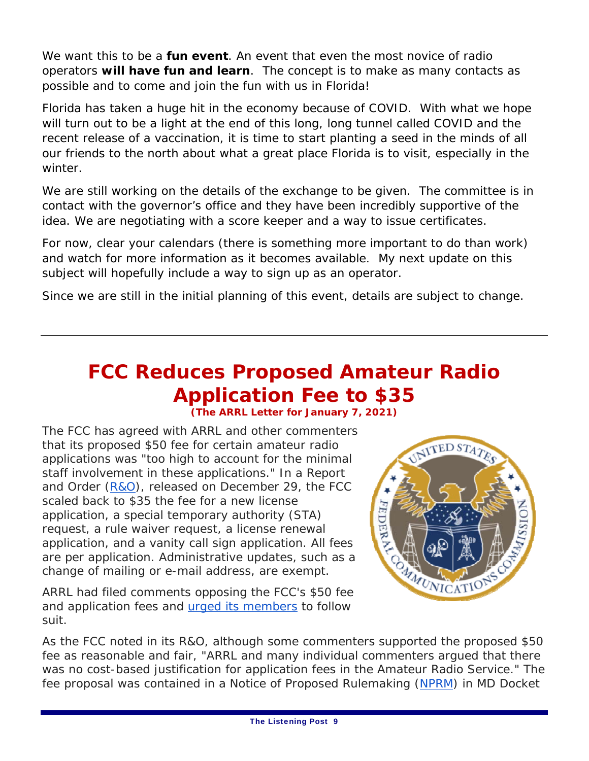We want this to be a **fun event**. An event that even the most novice of radio operators **will have fun and learn**. The concept is to make as many contacts as possible and to come and join the fun with us in Florida!

Florida has taken a huge hit in the economy because of COVID. With what we hope will turn out to be a light at the end of this long, long tunnel called COVID and the recent release of a vaccination, it is time to start planting a seed in the minds of all our friends to the north about what a great place Florida is to visit, especially in the winter.

We are still working on the details of the exchange to be given. The committee is in contact with the governor's office and they have been incredibly supportive of the idea. We are negotiating with a score keeper and a way to issue certificates.

For now, clear your calendars (there is something more important to do than work) and watch for more information as it becomes available. My next update on this subject will hopefully include a way to sign up as an operator.

Since we are still in the initial planning of this event, details are subject to change.

### **FCC Reduces Proposed Amateur Radio Application Fee to \$35 (The ARRL Letter for January 7, 2021)**

The FCC has agreed with ARRL and other commenters that its proposed \$50 fee for certain amateur radio applications was "too high to account for the minimal staff involvement in these applications." In a *Report and Order* (*R&O*), released on December 29, the FCC scaled back to \$35 the fee for a new license application, a special temporary authority (STA) request, a rule waiver request, a license renewal application, and a vanity call sign application. All fees are per application. Administrative updates, such as a change of mailing or e-mail address, are exempt.

ARRL had filed comments opposing the FCC's \$50 fee and application fees and urged its members to follow suit.



As the FCC noted in its *R&O*, although some commenters supported the proposed \$50 fee as reasonable and fair, "ARRL and many individual commenters argued that there was no cost-based justification for application fees in the Amateur Radio Service." The fee proposal was contained in a *Notice of Proposed Rulemaking* (*NPRM*) in MD Docket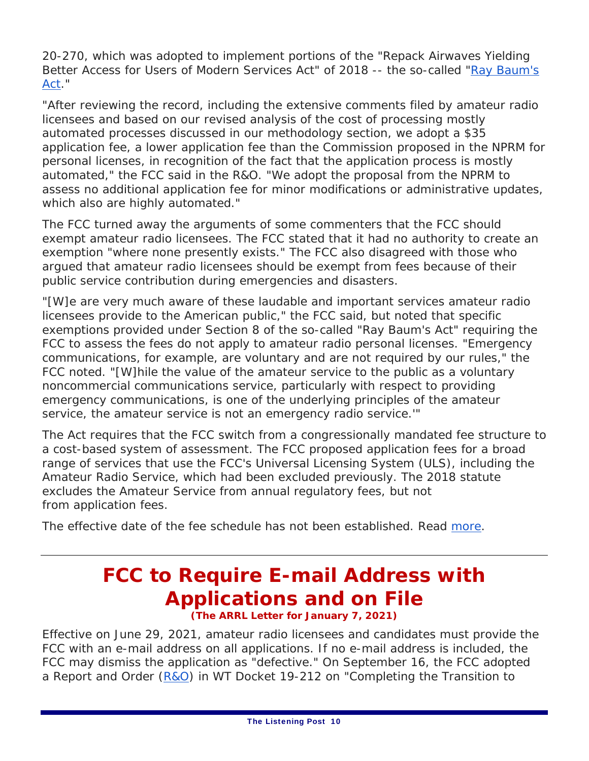20-270, which was adopted to implement portions of the "Repack Airwaves Yielding Better Access for Users of Modern Services Act" of 2018 -- the so-called "Ray Baum's Act."

"After reviewing the record, including the extensive comments filed by amateur radio licensees and based on our revised analysis of the cost of processing mostly automated processes discussed in our methodology section, we adopt a \$35 application fee, a lower application fee than the Commission proposed in the *NPRM* for personal licenses, in recognition of the fact that the application process is mostly automated," the FCC said in the *R&O*. "We adopt the proposal from the *NPRM* to assess no additional application fee for minor modifications or administrative updates, which also are highly automated."

The FCC turned away the arguments of some commenters that the FCC should exempt amateur radio licensees. The FCC stated that it had no authority to create an exemption "where none presently exists." The FCC also disagreed with those who argued that amateur radio licensees should be exempt from fees because of their public service contribution during emergencies and disasters.

"[W]e are very much aware of these laudable and important services amateur radio licensees provide to the American public," the FCC said, but noted that specific exemptions provided under Section 8 of the so-called "Ray Baum's Act" requiring the FCC to assess the fees do not apply to amateur radio personal licenses. "Emergency communications, for example, are voluntary and are not required by our rules," the FCC noted. "[W]hile the value of the amateur service to the public as a voluntary noncommercial communications service, particularly with respect to providing emergency communications, is one of the underlying principles of the amateur service, the amateur service is not an emergency radio service.'"

The Act requires that the FCC switch from a congressionally mandated fee structure to a cost-based system of assessment. The FCC proposed application fees for a broad range of services that use the FCC's Universal Licensing System (ULS), including the Amateur Radio Service, which had been excluded previously. The 2018 statute excludes the Amateur Service from annual *regulatory* fees, but not from *application* fees.

The effective date of the fee schedule has not been established. Read more.

### **FCC to Require E-mail Address with Applications and on File (The ARRL Letter for January 7, 2021)**

Effective on June 29, 2021, amateur radio licensees and candidates must provide the FCC with an e-mail address on all applications. If no e-mail address is included, the FCC may dismiss the application as "defective." On September 16, the FCC adopted a *Report and Orde*r (*R&O*) in WT Docket 19-212 on "Completing the Transition to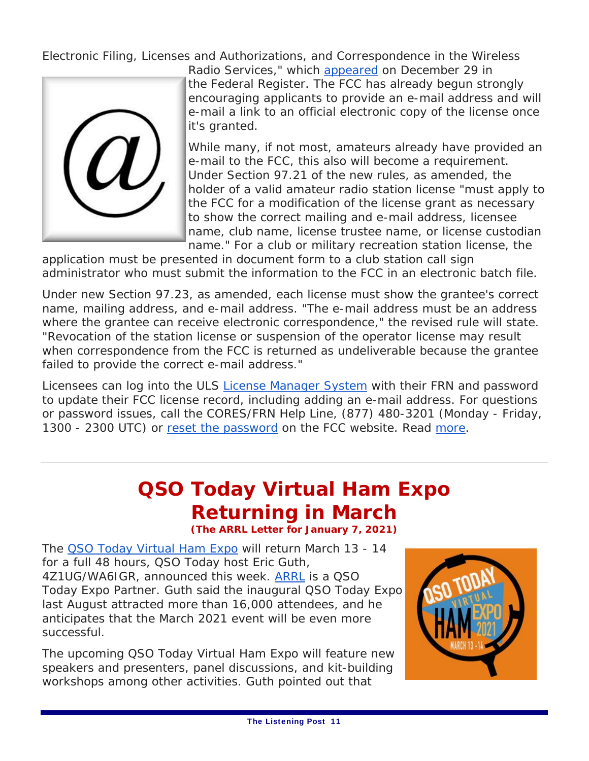Electronic Filing, Licenses and Authorizations, and Correspondence in the Wireless



Radio Services," which appeared on December 29 in the *Federal Register*. The FCC has already begun strongly encouraging applicants to provide an e-mail address and will e-mail a link to an official electronic copy of the license once it's granted.

While many, if not most, amateurs already have provided an e-mail to the FCC, this also will become a requirement. Under Section 97.21 of the new rules, as amended, the holder of a valid amateur radio station license "must apply to the FCC for a modification of the license grant as necessary to show the correct mailing and e-mail address, licensee name, club name, license trustee name, or license custodian name." For a club or military recreation station license, the

application must be presented in document form to a club station call sign administrator who must submit the information to the FCC in an electronic batch file.

Under new Section 97.23, as amended, each license must show the grantee's correct name, mailing address, and e-mail address. "The e-mail address must be an address where the grantee can receive electronic correspondence," the revised rule will state. "Revocation of the station license or suspension of the operator license may result when correspondence from the FCC is returned as undeliverable because the grantee failed to provide the correct e-mail address."

Licensees can log into the ULS License Manager System with their FRN and password to update their FCC license record, including adding an e-mail address. For questions or password issues, call the CORES/FRN Help Line, (877) 480-3201 (Monday - Friday, 1300 - 2300 UTC) or reset the password on the FCC website. Read more.

# *QSO Today* **Virtual Ham Expo Returning in March**

**(The ARRL Letter for January 7, 2021)**

The *QSO Today* Virtual Ham Expo will return March 13 - 14 for a full 48 hours, *QSO Today* host Eric Guth, 4Z1UG/WA6IGR, announced this week. ARRL is a *QSO Today* Expo Partner. Guth said the inaugural *QSO Today* Expo last August attracted more than 16,000 attendees, and he anticipates that the March 2021 event will be even more successful.

The upcoming *QSO Today* Virtual Ham Expo will feature new speakers and presenters, panel discussions, and kit-building workshops among other activities. Guth pointed out that

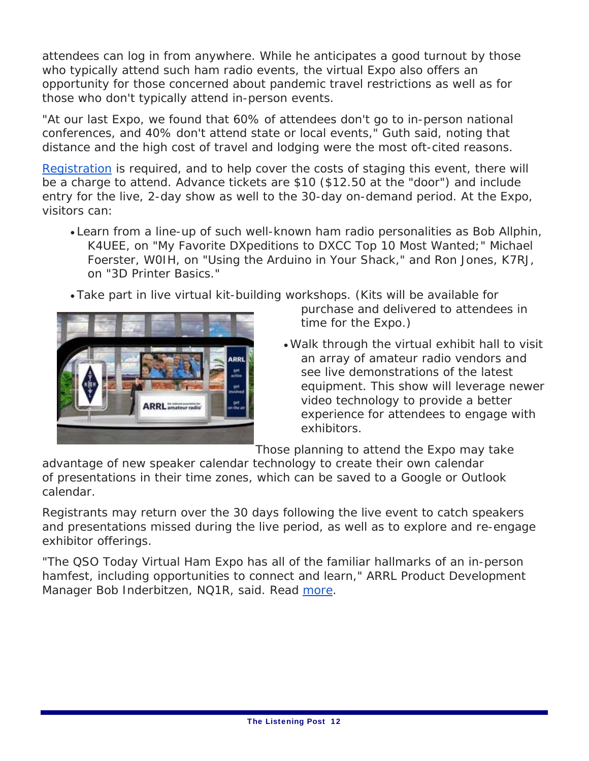attendees can log in from anywhere. While he anticipates a good turnout by those who typically attend such ham radio events, the virtual Expo also offers an opportunity for those concerned about pandemic travel restrictions as well as for those who don't typically attend in-person events.

"At our last Expo, we found that 60% of attendees don't go to in-person national conferences, and 40% don't attend state or local events," Guth said, noting that distance and the high cost of travel and lodging were the most oft-cited reasons.

Registration is required, and to help cover the costs of staging this event, there will be a charge to attend. Advance tickets are \$10 (\$12.50 at the "door") and include entry for the live, 2-day show as well to the 30-day on-demand period. At the Expo, visitors can:

- Learn from a line-up of such well-known ham radio personalities as Bob Allphin, K4UEE, on "My Favorite DXpeditions to DXCC Top 10 Most Wanted;" Michael Foerster, W0IH, on "Using the Arduino in Your Shack," and Ron Jones, K7RJ, on "3D Printer Basics."
- Take part in live virtual kit-building workshops. (Kits will be available for



- purchase and delivered to attendees in time for the Expo.)
- Walk through the virtual exhibit hall to visit an array of amateur radio vendors and see live demonstrations of the latest equipment. This show will leverage newer video technology to provide a better experience for attendees to engage with exhibitors.

Those planning to attend the Expo may take

advantage of new speaker calendar technology to create their own calendar of presentations in their time zones, which can be saved to a Google or Outlook calendar.

Registrants may return over the 30 days following the live event to catch speakers and presentations missed during the live period, as well as to explore and re-engage exhibitor offerings.

"The *QSO Today* Virtual Ham Expo has all of the familiar hallmarks of an in-person hamfest, including opportunities to connect and learn," ARRL Product Development Manager Bob Inderbitzen, NQ1R, said. Read more.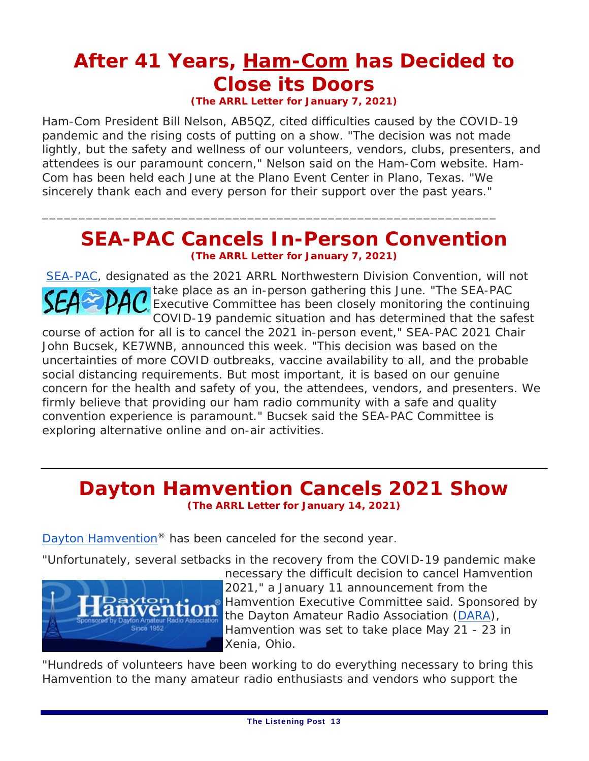# **After 41 Years, Ham-Com has Decided to Close its Doors**

**(The ARRL Letter for January 7, 2021)** 

Ham-Com President Bill Nelson, AB5QZ, cited difficulties caused by the COVID-19 pandemic and the rising costs of putting on a show. "The decision was not made lightly, but the safety and wellness of our volunteers, vendors, clubs, presenters, and attendees is our paramount concern," Nelson said on the Ham-Com website. Ham-Com has been held each June at the Plano Event Center in Plano, Texas. "We sincerely thank each and every person for their support over the past years."

### **SEA-PAC Cancels In-Person Convention (The ARRL Letter for January 7, 2021)**

\_\_\_\_\_\_\_\_\_\_\_\_\_\_\_\_\_\_\_\_\_\_\_\_\_\_\_\_\_\_\_\_\_\_\_\_\_\_\_\_\_\_\_\_\_\_\_\_\_\_\_\_\_\_\_\_\_\_\_\_\_\_

SEA-PAC, designated as the 2021 ARRL Northwestern Division Convention, will not take place as an in-person gathering this June. "The SEA-PAC Executive Committee has been closely monitoring the continuing COVID-19 pandemic situation and has determined that the safest course of action for all is to cancel the 2021 in-person event," SEA-PAC 2021 Chair John Bucsek, KE7WNB, announced this week. "This decision was based on the uncertainties of more COVID outbreaks, vaccine availability to all, and the probable social distancing requirements. But most important, it is based on our genuine concern for the health and safety of you, the attendees, vendors, and presenters. We firmly believe that providing our ham radio community with a safe and quality convention experience is paramount." Bucsek said the SEA-PAC Committee is exploring alternative online and on-air activities.

### **Dayton Hamvention Cancels 2021 Show (The ARRL Letter for January 14, 2021)**

Dayton Hamvention<sup>®</sup> has been canceled for the second year.

"Unfortunately, several setbacks in the recovery from the COVID-19 pandemic make



necessary the difficult decision to cancel Hamvention 2021," a January 11 announcement from the Hamvention Executive Committee said. Sponsored by the Dayton Amateur Radio Association (DARA), Hamvention was set to take place May 21 - 23 in Xenia, Ohio.

"Hundreds of volunteers have been working to do everything necessary to bring this Hamvention to the many amateur radio enthusiasts and vendors who support the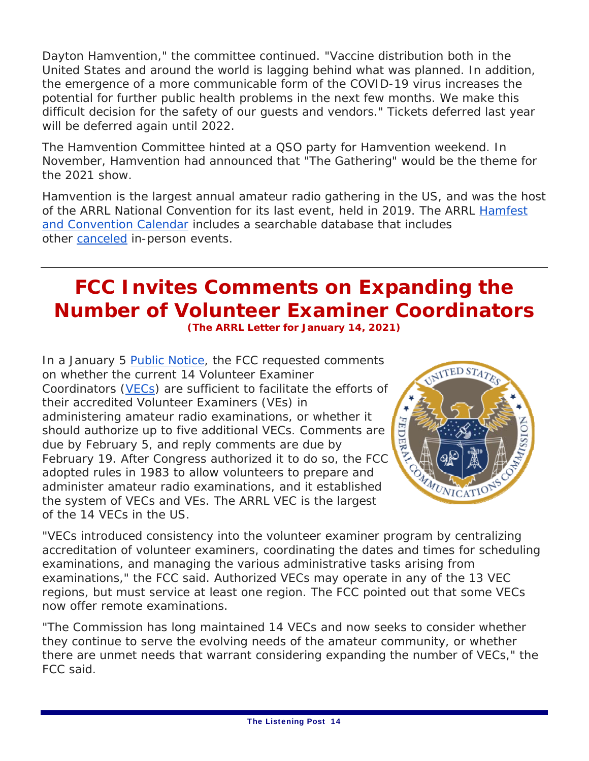Dayton Hamvention," the committee continued. "Vaccine distribution both in the United States and around the world is lagging behind what was planned. In addition, the emergence of a more communicable form of the COVID-19 virus increases the potential for further public health problems in the next few months. We make this difficult decision for the safety of our guests and vendors." Tickets deferred last year will be deferred again until 2022.

The Hamvention Committee hinted at a QSO party for Hamvention weekend. In November, Hamvention had announced that "The Gathering" would be the theme for the 2021 show.

Hamvention is the largest annual amateur radio gathering in the US, and was the host of the ARRL National Convention for its last event, held in 2019. The ARRL Hamfest and Convention Calendar includes a searchable database that includes other canceled in-person events.

### **FCC Invites Comments on Expanding the Number of Volunteer Examiner Coordinators (The ARRL Letter for January 14, 2021)**

In a January 5 *Public Notice*, the FCC requested comments on whether the current 14 Volunteer Examiner Coordinators (VECs) are sufficient to facilitate the efforts of their accredited Volunteer Examiners (VEs) in administering amateur radio examinations, or whether it should authorize up to five additional VECs. Comments are due by February 5, and reply comments are due by February 19. After Congress authorized it to do so, the FCC adopted rules in 1983 to allow volunteers to prepare and administer amateur radio examinations, and it established the system of VECs and VEs. The ARRL VEC is the largest of the 14 VECs in the US.



"VECs introduced consistency into the volunteer examiner program by centralizing accreditation of volunteer examiners, coordinating the dates and times for scheduling examinations, and managing the various administrative tasks arising from examinations," the FCC said. Authorized VECs may operate in any of the 13 VEC regions, but must service at least one region. The FCC pointed out that some VECs now offer remote examinations.

"The Commission has long maintained 14 VECs and now seeks to consider whether they continue to serve the evolving needs of the amateur community, or whether there are unmet needs that warrant considering expanding the number of VECs," the FCC said.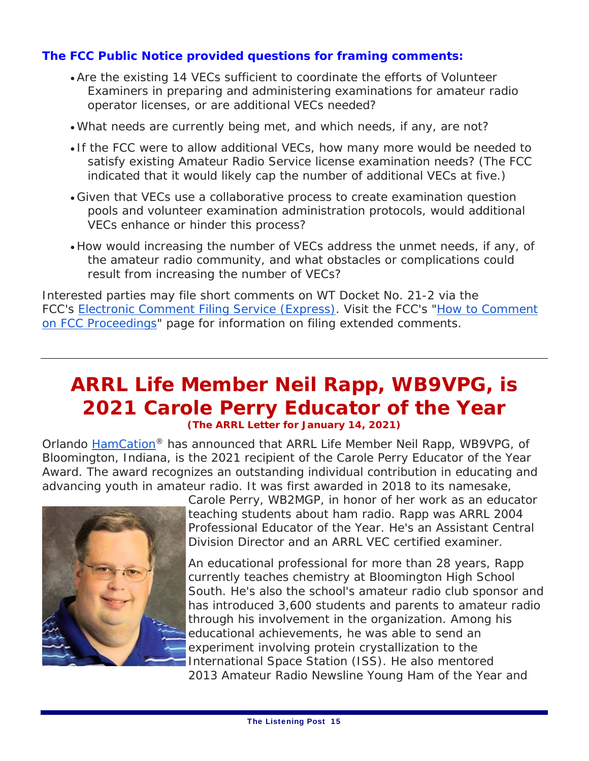#### **The FCC** *Public Notice* **provided questions for framing comments:**

- Are the existing 14 VECs sufficient to coordinate the efforts of Volunteer Examiners in preparing and administering examinations for amateur radio operator licenses, or are additional VECs needed?
- What needs are currently being met, and which needs, if any, are not?
- If the FCC were to allow additional VECs, how many more would be needed to satisfy existing Amateur Radio Service license examination needs? (The FCC indicated that it would likely cap the number of additional VECs at five.)
- Given that VECs use a collaborative process to create examination question pools and volunteer examination administration protocols, would additional VECs enhance or hinder this process?
- How would increasing the number of VECs address the unmet needs, if any, of the amateur radio community, and what obstacles or complications could result from increasing the number of VECs?

Interested parties may file short comments on WT Docket No. 21-2 via the FCC's Electronic Comment Filing Service (Express). Visit the FCC's "How to Comment on FCC Proceedings" page for information on filing extended comments.

### **ARRL Life Member Neil Rapp, WB9VPG, is 2021 Carole Perry Educator of the Year (The ARRL Letter for January 14, 2021)**

Orlando HamCation® has announced that ARRL Life Member Neil Rapp, WB9VPG, of Bloomington, Indiana, is the 2021 recipient of the Carole Perry Educator of the Year Award. The award recognizes an outstanding individual contribution in educating and advancing youth in amateur radio. It was first awarded in 2018 to its namesake,



Carole Perry, WB2MGP, in honor of her work as an educator teaching students about ham radio. Rapp was ARRL 2004 Professional Educator of the Year. He's an Assistant Central Division Director and an ARRL VEC certified examiner.

An educational professional for more than 28 years, Rapp currently teaches chemistry at Bloomington High School South. He's also the school's amateur radio club sponsor and has introduced 3,600 students and parents to amateur radio through his involvement in the organization. Among his educational achievements, he was able to send an experiment involving protein crystallization to the International Space Station (ISS). He also mentored 2013 *Amateur Radio Newsline* Young Ham of the Year and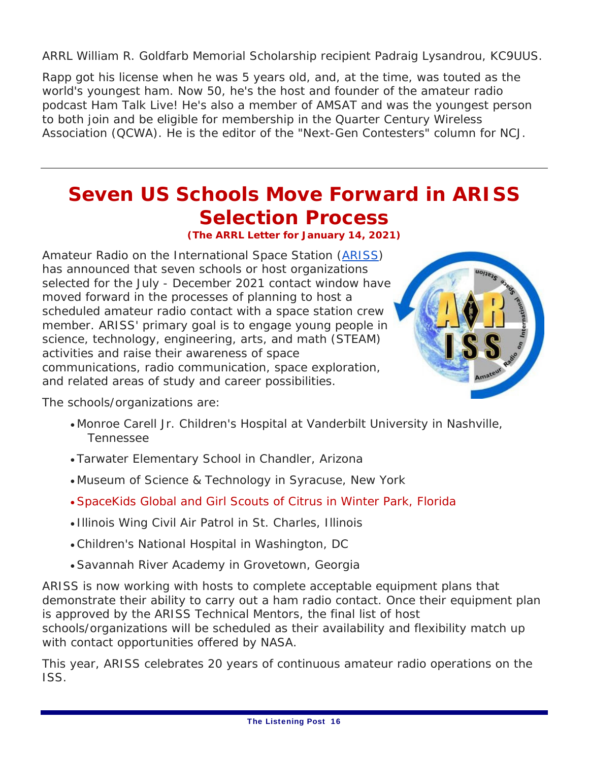ARRL William R. Goldfarb Memorial Scholarship recipient Padraig Lysandrou, KC9UUS.

Rapp got his license when he was 5 years old, and, at the time, was touted as the world's youngest ham. Now 50, he's the host and founder of the amateur radio podcast *Ham Talk Live!* He's also a member of AMSAT and was the youngest person to both join and be eligible for membership in the Quarter Century Wireless Association (QCWA). He is the editor of the "Next-Gen Contesters" column for *NCJ*.

# **Seven US Schools Move Forward in ARISS Selection Process**

**(The ARRL Letter for January 14, 2021)**

Amateur Radio on the International Space Station (ARISS) has announced that seven schools or host organizations selected for the July - December 2021 contact window have moved forward in the processes of planning to host a scheduled amateur radio contact with a space station crew member. ARISS' primary goal is to engage young people in science, technology, engineering, arts, and math (STEAM) activities and raise their awareness of space communications, radio communication, space exploration, and related areas of study and career possibilities.



The schools/organizations are:

- Monroe Carell Jr. Children's Hospital at Vanderbilt University in Nashville, Tennessee
- Tarwater Elementary School in Chandler, Arizona
- Museum of Science & Technology in Syracuse, New York
- SpaceKids Global and Girl Scouts of Citrus in Winter Park, Florida
- Illinois Wing Civil Air Patrol in St. Charles, Illinois
- Children's National Hospital in Washington, DC
- Savannah River Academy in Grovetown, Georgia

ARISS is now working with hosts to complete acceptable equipment plans that demonstrate their ability to carry out a ham radio contact. Once their equipment plan is approved by the ARISS Technical Mentors, the final list of host schools/organizations will be scheduled as their availability and flexibility match up with contact opportunities offered by NASA.

This year, ARISS celebrates 20 years of continuous amateur radio operations on the ISS.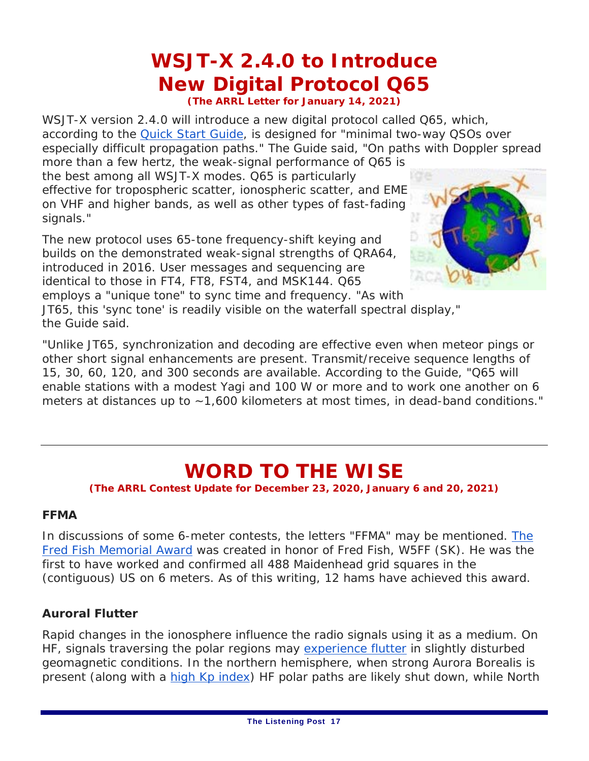# *WSJT-X* **2.4.0 to Introduce New Digital Protocol Q65**

**(The ARRL Letter for January 14, 2021)**

*WSJT-X* version 2.4.0 will introduce a new digital protocol called Q65, which, according to the *Quick Start Guide,* is designed for "minimal two-way QSOs over especially difficult propagation paths." The *Guide* said, "On paths with Doppler spread

more than a few hertz, the weak-signal performance of Q65 is the best among all *WSJT-X* modes. Q65 is particularly effective for tropospheric scatter, ionospheric scatter, and EME on VHF and higher bands, as well as other types of fast-fading signals."

The new protocol uses 65-tone frequency-shift keying and builds on the demonstrated weak-signal strengths of QRA64, introduced in 2016. User messages and sequencing are identical to those in FT4, FT8, FST4, and MSK144. Q65



employs a "unique tone" to sync time and frequency. "As with JT65, this 'sync tone' is readily visible on the waterfall spectral display," the *Guide* said.

"Unlike JT65, synchronization and decoding are effective even when meteor pings or other short signal enhancements are present. Transmit/receive sequence lengths of 15, 30, 60, 120, and 300 seconds are available. According to the *Guide*, "Q65 will enable stations with a modest Yagi and 100 W or more and to work one another on 6 meters at distances up to ~1,600 kilometers at most times, in dead-band conditions."

# **WORD TO THE WISE**

**(The ARRL Contest Update for December 23, 2020, January 6 and 20, 2021)**

#### **FFMA**

In discussions of some 6-meter contests, the letters "FFMA" may be mentioned. The Fred Fish Memorial Award was created in honor of Fred Fish, W5FF (SK). He was the first to have worked and confirmed all 488 Maidenhead grid squares in the (contiguous) US on 6 meters. As of this writing, 12 hams have achieved this award.

#### **Auroral Flutter**

Rapid changes in the ionosphere influence the radio signals using it as a medium. On HF, signals traversing the polar regions may experience flutter in slightly disturbed geomagnetic conditions. In the northern hemisphere, when strong Aurora Borealis is present (along with a high Kp index) HF polar paths are likely shut down, while North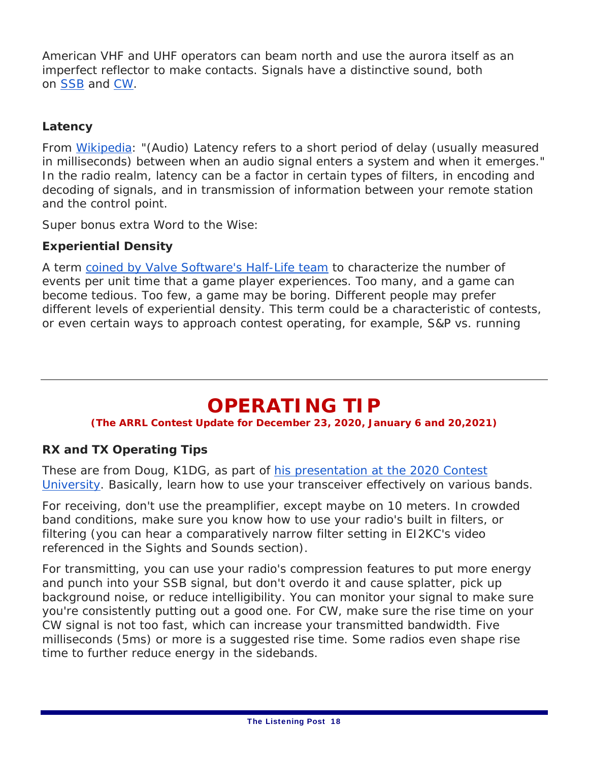American VHF and UHF operators can beam north and use the aurora itself as an imperfect reflector to make contacts. Signals have a distinctive sound, both on SSB and CW.

#### **Latency**

From Wikipedia: "(Audio) Latency refers to a short period of delay (usually measured in milliseconds) between when an audio signal enters a system and when it emerges." In the radio realm, latency can be a factor in certain types of filters, in encoding and decoding of signals, and in transmission of information between your remote station and the control point.

Super bonus extra Word to the Wise:

#### **Experiential Density**

A term coined by Valve Software's *Half-Life* team to characterize the number of events per unit time that a game player experiences. Too many, and a game can become tedious. Too few, a game may be boring. Different people may prefer different levels of experiential density. This term could be a characteristic of contests, or even certain ways to approach contest operating, for example, S&P vs. running

## **OPERATING TIP**

#### **(The ARRL Contest Update for December 23, 2020, January 6 and 20,2021)**

#### **RX and TX Operating Tips**

These are from Doug, K1DG, as part of his presentation at the 2020 Contest University. Basically, learn how to use your transceiver effectively on various bands.

For receiving, don't use the preamplifier, except maybe on 10 meters. In crowded band conditions, make sure you know how to use your radio's built in filters, or filtering (you can hear a comparatively narrow filter setting in EI2KC's video referenced in the Sights and Sounds section).

For transmitting, you can use your radio's compression features to put more energy and punch into your SSB signal, but don't overdo it and cause splatter, pick up background noise, or reduce intelligibility. You can monitor your signal to make sure you're consistently putting out a good one. For CW, make sure the rise time on your CW signal is not too fast, which can increase your transmitted bandwidth. Five milliseconds (5ms) or more is a suggested rise time. Some radios even shape rise time to further reduce energy in the sidebands.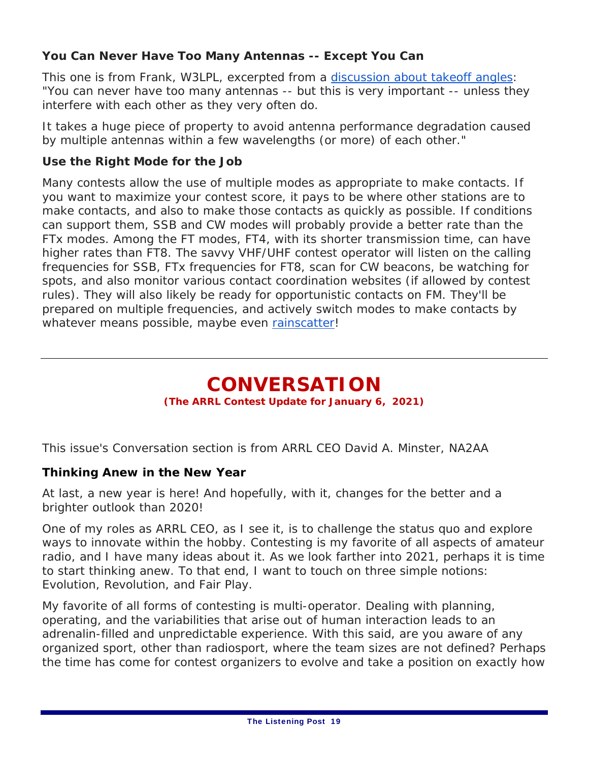#### **You Can Never Have Too Many Antennas -- Except You Can**

This one is from Frank, W3LPL, excerpted from a discussion about takeoff angles: "You can never have too many antennas -- but this is very important -- unless they interfere with each other as they very often do.

It takes a huge piece of property to avoid antenna performance degradation caused by multiple antennas within a few wavelengths (or more) of each other."

#### **Use the Right Mode for the Job**

Many contests allow the use of multiple modes as appropriate to make contacts. If you want to maximize your contest score, it pays to be where other stations are to make contacts, and also to make those contacts as quickly as possible. If conditions can support them, SSB and CW modes will probably provide a better rate than the FTx modes. Among the FT modes, FT4, with its shorter transmission time, can have higher rates than FT8. The savvy VHF/UHF contest operator will listen on the calling frequencies for SSB, FTx frequencies for FT8, scan for CW beacons, be watching for spots, and also monitor various contact coordination websites (if allowed by contest rules). They will also likely be ready for opportunistic contacts on FM. They'll be prepared on multiple frequencies, and actively switch modes to make contacts by whatever means possible, maybe even rainscatter!

### **CONVERSATION**

#### **(The ARRL Contest Update for January 6, 2021)**

This issue's Conversation section is from ARRL CEO David A. Minster, NA2AA

#### **Thinking Anew in the New Year**

At last, a new year is here! And hopefully, with it, changes for the better and a brighter outlook than 2020!

One of my roles as ARRL CEO, as I see it, is to challenge the status quo and explore ways to innovate within the hobby. Contesting is my favorite of all aspects of amateur radio, and I have many ideas about it. As we look farther into 2021, perhaps it is time to start thinking anew. To that end, I want to touch on three simple notions: Evolution, Revolution, and Fair Play.

My favorite of all forms of contesting is multi-operator. Dealing with planning, operating, and the variabilities that arise out of human interaction leads to an adrenalin-filled and unpredictable experience. With this said, are you aware of any organized sport, other than radiosport, where the team sizes are not defined? Perhaps the time has come for contest organizers to *evolve* and take a position on exactly how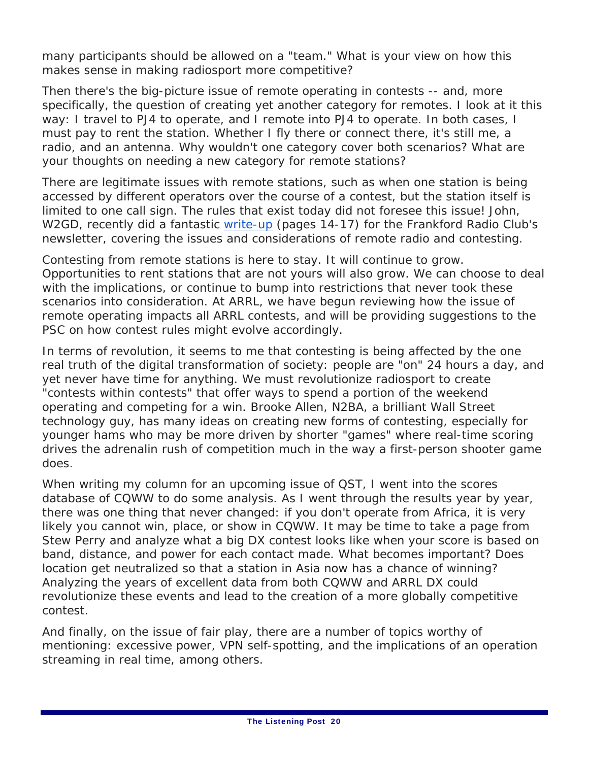many participants should be allowed on a "team." What is your view on how this makes sense in making radiosport more competitive?

Then there's the big-picture issue of remote operating in contests -- and, more specifically, the question of creating yet another category for remotes. I look at it this way: I travel to PJ4 to operate, and I remote into PJ4 to operate. In both cases, I must pay to rent the station. Whether I fly there or connect there, it's still me, a radio, and an antenna. Why wouldn't one category cover both scenarios? What are your thoughts on needing a new category for remote stations?

There are legitimate issues with remote stations, such as when one station is being accessed by different operators over the course of a contest, but the station itself is limited to one call sign. The rules that exist today did not foresee this issue! John, W2GD, recently did a fantastic write-up (pages 14-17) for the Frankford Radio Club's newsletter, covering the issues and considerations of remote radio and contesting.

Contesting from remote stations is here to stay. It will continue to grow. Opportunities to rent stations that are not yours will also grow. We can choose to deal with the implications, or continue to bump into restrictions that never took these scenarios into consideration. At ARRL, we have begun reviewing how the issue of remote operating impacts all ARRL contests, and will be providing suggestions to the PSC on how contest rules might evolve accordingly.

In terms of *revolution*, it seems to me that contesting is being affected by the one real truth of the digital transformation of society: people are "on" 24 hours a day, and yet never have time for anything. We must revolutionize radiosport to create "contests within contests" that offer ways to spend a portion of the weekend operating and competing for a win. Brooke Allen, N2BA, a brilliant Wall Street technology guy, has many ideas on creating new forms of contesting, especially for younger hams who may be more driven by shorter "games" where real-time scoring drives the adrenalin rush of competition much in the way a first-person shooter game does.

When writing my column for an upcoming issue of *QST*, I went into the scores database of CQWW to do some analysis. As I went through the results year by year, there was one thing that never changed: if you don't operate from Africa, it is very likely you cannot win, place, or show in CQWW. It may be time to take a page from Stew Perry and analyze what a big DX contest looks like when your score is based on band, distance, and power for each contact made. What becomes important? Does location get neutralized so that a station in Asia now has a chance of winning? Analyzing the years of excellent data from both CQWW and ARRL DX could revolutionize these events and lead to the creation of a more globally competitive contest.

And finally, on the issue of *fair play*, there are a number of topics worthy of mentioning: excessive power, VPN self-spotting, and the implications of an operation streaming in real time, among others.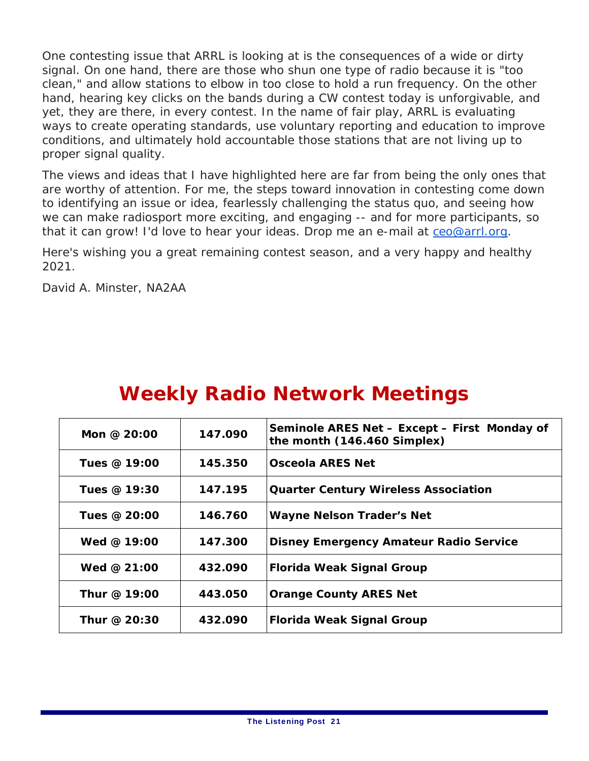One contesting issue that ARRL is looking at is the consequences of a wide or dirty signal. On one hand, there are those who shun one type of radio because it is "too clean," and allow stations to elbow in too close to hold a run frequency. On the other hand, hearing key clicks on the bands during a CW contest today is unforgivable, and yet, they are there, in every contest. In the name of fair play, ARRL is evaluating ways to create operating standards, use voluntary reporting and education to improve conditions, and ultimately hold accountable those stations that are not living up to proper signal quality.

The views and ideas that I have highlighted here are far from being the only ones that are worthy of attention. For me, the steps toward innovation in contesting come down to identifying an issue or idea, fearlessly challenging the status quo, and seeing how we can make radiosport more exciting, and engaging -- and for more participants, so that it can grow! I'd love to hear your ideas. Drop me an e-mail at ceo@arrl.org.

Here's wishing you a great remaining contest season, and a very happy and healthy 2021.

David A. Minster, NA2AA

| <u>UVCCINI Y INCLUITO INCLUVOI IN IVICCLII ILIJO</u> |         |                                                                             |
|------------------------------------------------------|---------|-----------------------------------------------------------------------------|
| Mon @ 20:00                                          | 147.090 | Seminole ARES Net - Except - First Monday of<br>the month (146.460 Simplex) |
| Tues @ 19:00                                         | 145.350 | <b>Osceola ARES Net</b>                                                     |
| Tues @ 19:30                                         | 147.195 | <b>Quarter Century Wireless Association</b>                                 |
| Tues @ 20:00                                         | 146.760 | <b>Wayne Nelson Trader's Net</b>                                            |
| Wed $@$ 19:00                                        | 147.300 | <b>Disney Emergency Amateur Radio Service</b>                               |
| Wed @ 21:00                                          | 432.090 | Florida Weak Signal Group                                                   |
| Thur @ 19:00                                         | 443.050 | <b>Orange County ARES Net</b>                                               |
| Thur @ 20:30                                         | 432.090 | Florida Weak Signal Group                                                   |

## **Weekly Radio Network Meetings**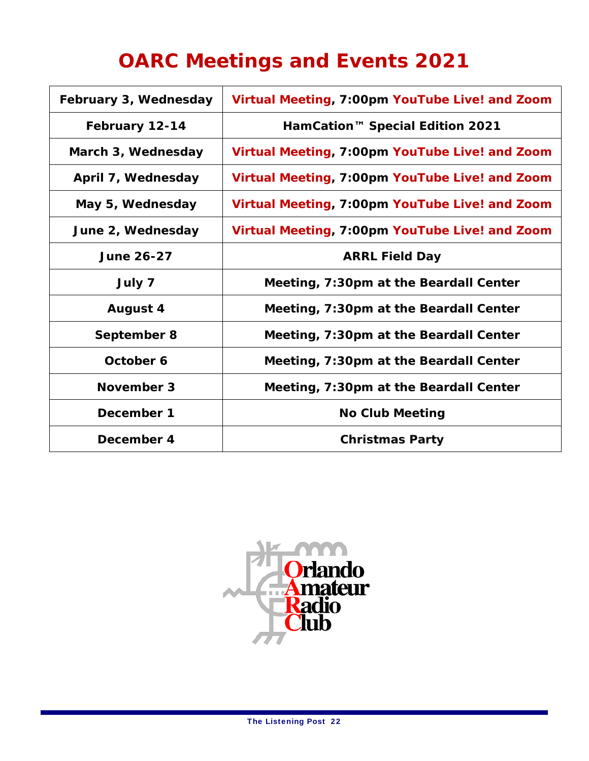# **OARC Meetings and Events 2021**

| February 3, Wednesday | Virtual Meeting, 7:00pm YouTube Live! and Zoom |
|-----------------------|------------------------------------------------|
| February 12-14        | HamCation <sup>™</sup> Special Edition 2021    |
| March 3, Wednesday    | Virtual Meeting, 7:00pm YouTube Live! and Zoom |
| April 7, Wednesday    | Virtual Meeting, 7:00pm YouTube Live! and Zoom |
| May 5, Wednesday      | Virtual Meeting, 7:00pm YouTube Live! and Zoom |
| June 2, Wednesday     | Virtual Meeting, 7:00pm YouTube Live! and Zoom |
| <b>June 26-27</b>     | <b>ARRL Field Day</b>                          |
| July 7                | Meeting, 7:30pm at the Beardall Center         |
| <b>August 4</b>       | Meeting, 7:30pm at the Beardall Center         |
| September 8           | Meeting, 7:30pm at the Beardall Center         |
| October 6             | Meeting, 7:30pm at the Beardall Center         |
| November 3            | Meeting, 7:30pm at the Beardall Center         |
| December 1            | <b>No Club Meeting</b>                         |
| December 4            | <b>Christmas Party</b>                         |

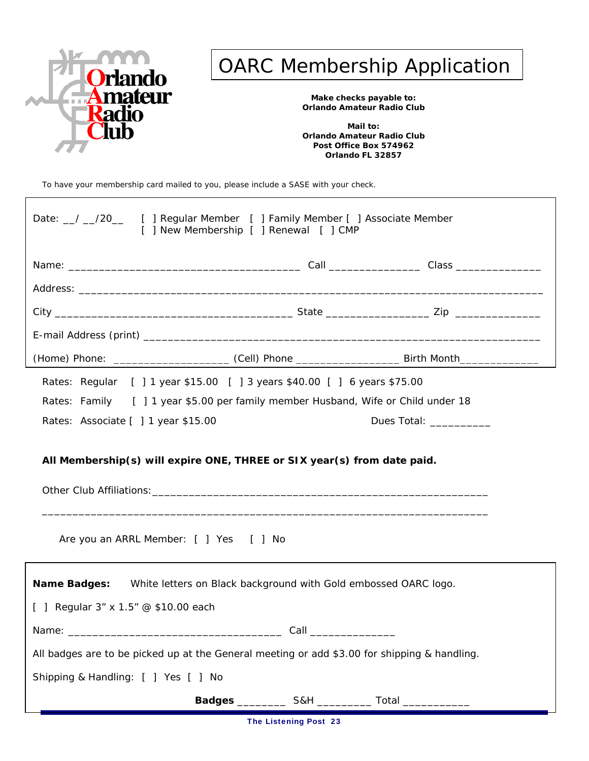

# OARC Membership Application

**Make checks payable to: Orlando Amateur Radio Club** 

**Mail to: Orlando Amateur Radio Club Post Office Box 574962 Orlando FL 32857**

To have your membership card mailed to you, please include a SASE with your check.

| Date: 1 20 [ ] Regular Member [ ] Family Member [ ] Associate Member<br>[ ] New Membership [ ] Renewal [ ] CMP    |                        |                                                                                                                                                                                                                                |  |
|-------------------------------------------------------------------------------------------------------------------|------------------------|--------------------------------------------------------------------------------------------------------------------------------------------------------------------------------------------------------------------------------|--|
|                                                                                                                   |                        |                                                                                                                                                                                                                                |  |
|                                                                                                                   |                        |                                                                                                                                                                                                                                |  |
|                                                                                                                   |                        |                                                                                                                                                                                                                                |  |
|                                                                                                                   |                        |                                                                                                                                                                                                                                |  |
| (Home) Phone: _________________________(Cell) Phone __________________________Birth Month________________         |                        |                                                                                                                                                                                                                                |  |
| Rates: Regular [ ] 1 year \$15.00 [ ] 3 years \$40.00 [ ] 6 years \$75.00                                         |                        |                                                                                                                                                                                                                                |  |
| Rates: Family [ ] 1 year \$5.00 per family member Husband, Wife or Child under 18                                 |                        |                                                                                                                                                                                                                                |  |
| Rates: Associate [ ] 1 year \$15.00                                                                               |                        | Dues Total: The Contract of the Contract of the Contract of the Contract of the Contract of the Contract of the Contract of the Contract of the Contract of the Contract of the Contract of the Contract of the Contract of th |  |
| All Membership(s) will expire ONE, THREE or SIX year(s) from date paid.<br>Are you an ARRL Member: [ ] Yes [ ] No |                        |                                                                                                                                                                                                                                |  |
| Name Badges: White letters on Black background with Gold embossed OARC logo.                                      |                        |                                                                                                                                                                                                                                |  |
| [ ] Regular 3" x 1.5" @ \$10.00 each                                                                              |                        |                                                                                                                                                                                                                                |  |
|                                                                                                                   | Call _________________ |                                                                                                                                                                                                                                |  |
| All badges are to be picked up at the General meeting or add \$3.00 for shipping & handling.                      |                        |                                                                                                                                                                                                                                |  |
| Shipping & Handling: [ ] Yes [ ] No                                                                               |                        |                                                                                                                                                                                                                                |  |
| Badges ______________ S&H ______________ Total ___________                                                        |                        |                                                                                                                                                                                                                                |  |

The Listening Post 23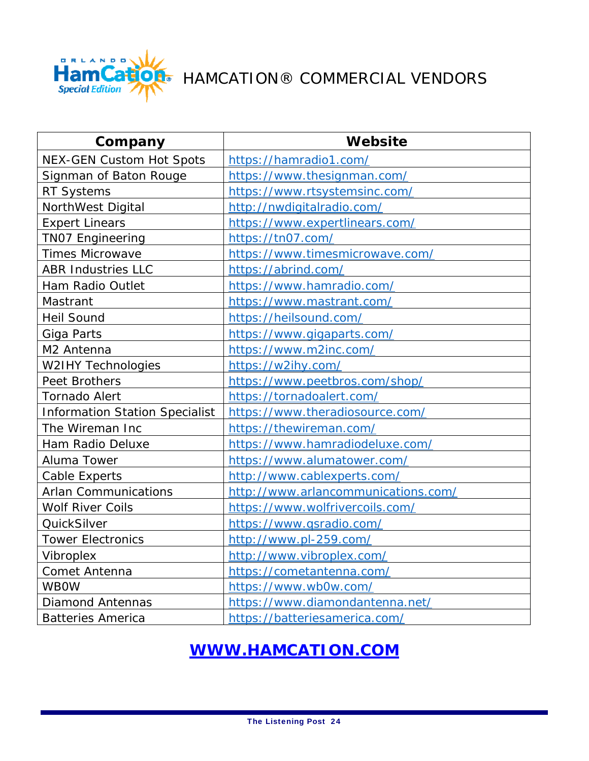

## HAMCATION® COMMERCIAL VENDORS

| Company                               | Website                             |
|---------------------------------------|-------------------------------------|
| <b>NEX-GEN Custom Hot Spots</b>       | https://hamradio1.com/              |
| Signman of Baton Rouge                | https://www.thesignman.com/         |
| <b>RT Systems</b>                     | https://www.rtsystemsinc.com/       |
| NorthWest Digital                     | http://nwdigitalradio.com/          |
| <b>Expert Linears</b>                 | https://www.expertlinears.com/      |
| <b>TNO7 Engineering</b>               | https://tn07.com/                   |
| <b>Times Microwave</b>                | https://www.timesmicrowave.com/     |
| <b>ABR Industries LLC</b>             | https://abrind.com/                 |
| Ham Radio Outlet                      | https://www.hamradio.com/           |
| Mastrant                              | https://www.mastrant.com/           |
| <b>Heil Sound</b>                     | https://heilsound.com/              |
| Giga Parts                            | https://www.gigaparts.com/          |
| M2 Antenna                            | https://www.m2inc.com/              |
| <b>W2IHY Technologies</b>             | https://w2ihy.com/                  |
| Peet Brothers                         | https://www.peetbros.com/shop/      |
| <b>Tornado Alert</b>                  | https://tornadoalert.com/           |
| <b>Information Station Specialist</b> | https://www.theradiosource.com/     |
| The Wireman Inc                       | https://thewireman.com/             |
| Ham Radio Deluxe                      | https://www.hamradiodeluxe.com/     |
| Aluma Tower                           | https://www.alumatower.com/         |
| <b>Cable Experts</b>                  | http://www.cablexperts.com/         |
| <b>Arlan Communications</b>           | http://www.arlancommunications.com/ |
| <b>Wolf River Coils</b>               | https://www.wolfrivercoils.com/     |
| QuickSilver                           | https://www.qsradio.com/            |
| <b>Tower Electronics</b>              | http://www.pl-259.com/              |
| Vibroplex                             | http://www.vibroplex.com/           |
| Comet Antenna                         | https://cometantenna.com/           |
| <b>WBOW</b>                           | https://www.wb0w.com/               |
| <b>Diamond Antennas</b>               | https://www.diamondantenna.net/     |
| <b>Batteries America</b>              | https://batteriesamerica.com/       |

### **WWW.HAMCATION.COM**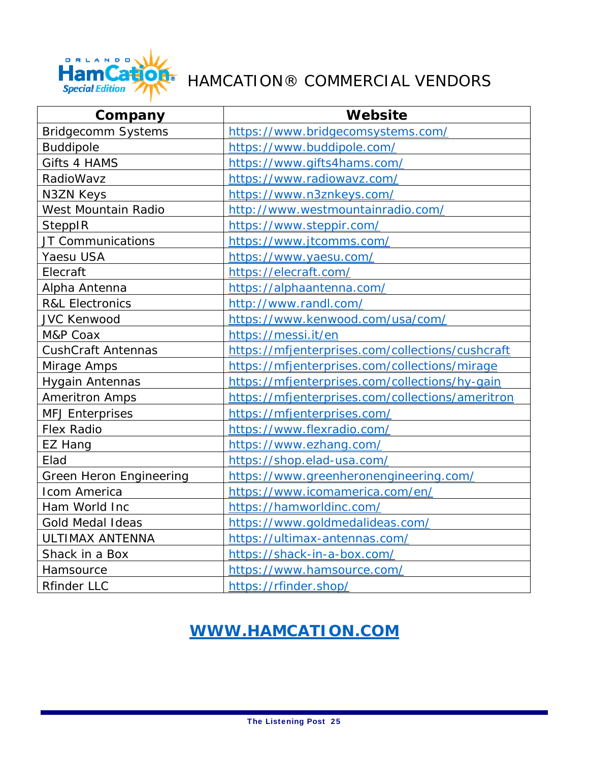

## HAMCATION® COMMERCIAL VENDORS

| Company                    | Website                                          |
|----------------------------|--------------------------------------------------|
| <b>Bridgecomm Systems</b>  | https://www.bridgecomsystems.com/                |
| <b>Buddipole</b>           | https://www.buddipole.com/                       |
| Gifts 4 HAMS               | https://www.gifts4hams.com/                      |
| RadioWavz                  | https://www.radiowavz.com/                       |
| <b>N3ZN Keys</b>           | https://www.n3znkeys.com/                        |
| West Mountain Radio        | http://www.westmountainradio.com/                |
| SteppIR                    | https://www.steppir.com/                         |
| JT Communications          | https://www.jtcomms.com/                         |
| Yaesu USA                  | https://www.yaesu.com/                           |
| Elecraft                   | https://elecraft.com/                            |
| Alpha Antenna              | https://alphaantenna.com/                        |
| <b>R&amp;L Electronics</b> | http://www.randl.com/                            |
| <b>JVC Kenwood</b>         | https://www.kenwood.com/usa/com/                 |
| M&P Coax                   | https://messi.it/en                              |
| <b>CushCraft Antennas</b>  | https://mfjenterprises.com/collections/cushcraft |
| Mirage Amps                | https://mfjenterprises.com/collections/mirage    |
| <b>Hygain Antennas</b>     | https://mfjenterprises.com/collections/hy-gain   |
| <b>Ameritron Amps</b>      | https://mfjenterprises.com/collections/ameritron |
| <b>MFJ Enterprises</b>     | https://mfjenterprises.com/                      |
| <b>Flex Radio</b>          | https://www.flexradio.com/                       |
| EZ Hang                    | https://www.ezhang.com/                          |
| Elad                       | https://shop.elad-usa.com/                       |
| Green Heron Engineering    | https://www.greenheronengineering.com/           |
| Icom America               | https://www.icomamerica.com/en/                  |
| Ham World Inc              | https://hamworldinc.com/                         |
| <b>Gold Medal Ideas</b>    | https://www.goldmedalideas.com/                  |
| ULTIMAX ANTENNA            | https://ultimax-antennas.com/                    |
| Shack in a Box             | https://shack-in-a-box.com/                      |
| Hamsource                  | https://www.hamsource.com/                       |
| <b>Rfinder LLC</b>         | https://rfinder.shop/                            |

### **WWW.HAMCATION.COM**